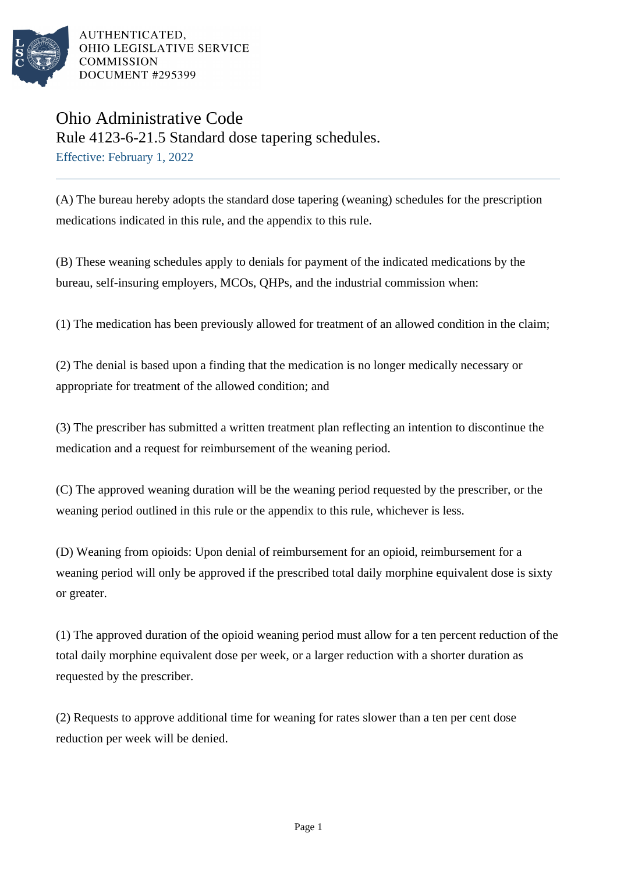

AUTHENTICATED. OHIO LEGISLATIVE SERVICE **COMMISSION DOCUMENT #295399** 

## Ohio Administrative Code

Rule 4123-6-21.5 Standard dose tapering schedules. Effective: February 1, 2022

(A) The bureau hereby adopts the standard dose tapering (weaning) schedules for the prescription medications indicated in this rule, and the appendix to this rule.

(B) These weaning schedules apply to denials for payment of the indicated medications by the bureau, self-insuring employers, MCOs, QHPs, and the industrial commission when:

(1) The medication has been previously allowed for treatment of an allowed condition in the claim;

(2) The denial is based upon a finding that the medication is no longer medically necessary or appropriate for treatment of the allowed condition; and

(3) The prescriber has submitted a written treatment plan reflecting an intention to discontinue the medication and a request for reimbursement of the weaning period.

(C) The approved weaning duration will be the weaning period requested by the prescriber, or the weaning period outlined in this rule or the appendix to this rule, whichever is less.

(D) Weaning from opioids: Upon denial of reimbursement for an opioid, reimbursement for a weaning period will only be approved if the prescribed total daily morphine equivalent dose is sixty or greater.

(1) The approved duration of the opioid weaning period must allow for a ten percent reduction of the total daily morphine equivalent dose per week, or a larger reduction with a shorter duration as requested by the prescriber.

(2) Requests to approve additional time for weaning for rates slower than a ten per cent dose reduction per week will be denied.